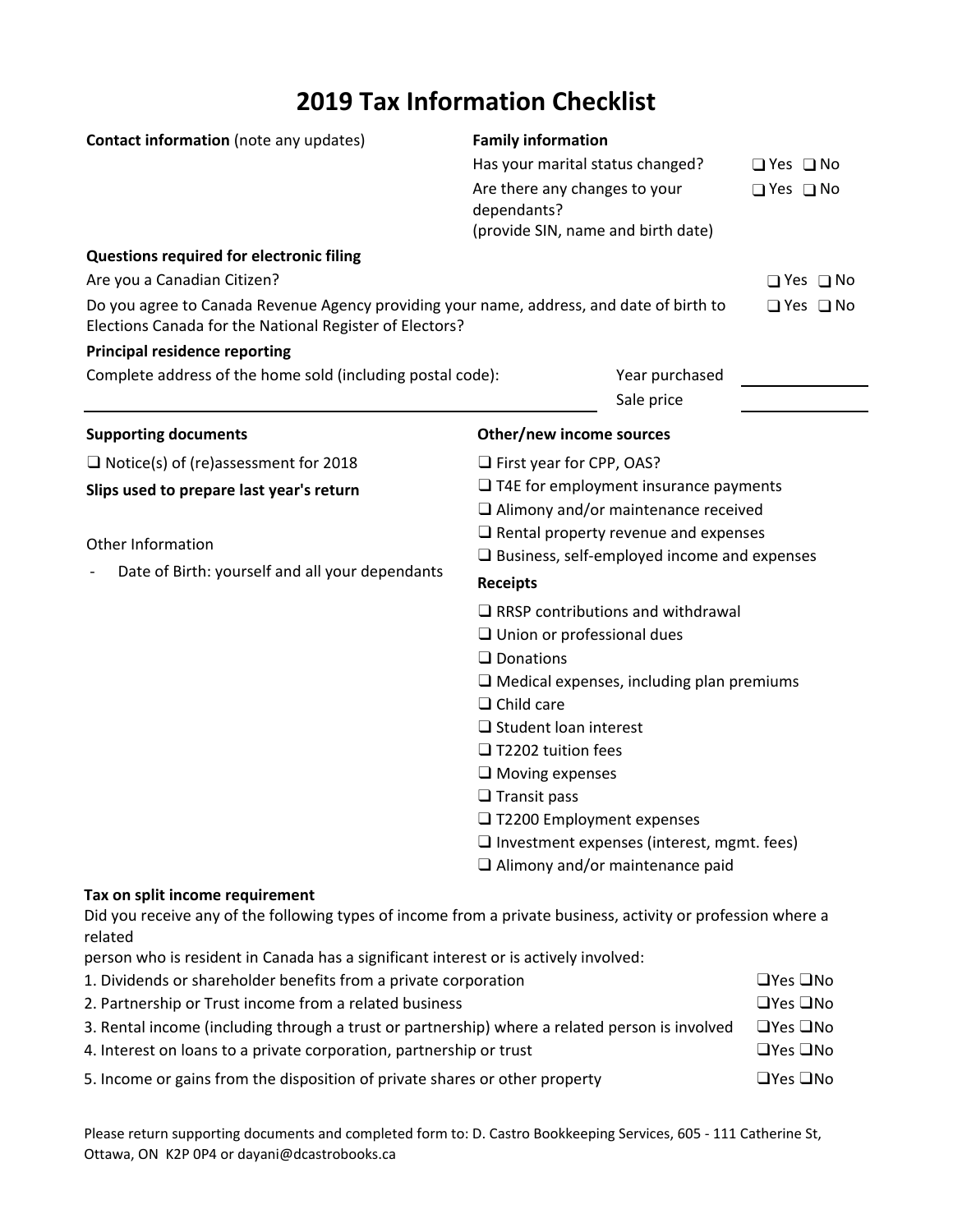## **2019 Tax Information Checklist**

| <b>Contact information</b> (note any updates)                                                                                                                                                                                                                          | <b>Family information</b><br>Has your marital status changed?<br>Are there any changes to your<br>dependants?<br>(provide SIN, name and birth date)                                                                                                                  |                                                                                                                                                   | $\Box$ Yes $\Box$ No<br>$\Box$ Yes $\Box$ No |
|------------------------------------------------------------------------------------------------------------------------------------------------------------------------------------------------------------------------------------------------------------------------|----------------------------------------------------------------------------------------------------------------------------------------------------------------------------------------------------------------------------------------------------------------------|---------------------------------------------------------------------------------------------------------------------------------------------------|----------------------------------------------|
| Questions required for electronic filing<br>Are you a Canadian Citizen?<br>Do you agree to Canada Revenue Agency providing your name, address, and date of birth to<br>Elections Canada for the National Register of Electors?<br><b>Principal residence reporting</b> |                                                                                                                                                                                                                                                                      |                                                                                                                                                   | $\Box$ Yes $\Box$ No<br>$\Box$ Yes $\Box$ No |
| Complete address of the home sold (including postal code):                                                                                                                                                                                                             |                                                                                                                                                                                                                                                                      | Year purchased<br>Sale price                                                                                                                      |                                              |
| <b>Supporting documents</b>                                                                                                                                                                                                                                            | Other/new income sources                                                                                                                                                                                                                                             |                                                                                                                                                   |                                              |
| $\Box$ Notice(s) of (re)assessment for 2018<br>Slips used to prepare last year's return<br>Other Information<br>Date of Birth: yourself and all your dependants                                                                                                        | $\Box$ First year for CPP, OAS?<br>$\Box$ T4E for employment insurance payments<br>$\Box$ Alimony and/or maintenance received<br>$\Box$ Rental property revenue and expenses<br>$\Box$ Business, self-employed income and expenses<br><b>Receipts</b>                |                                                                                                                                                   |                                              |
|                                                                                                                                                                                                                                                                        | $\Box$ Union or professional dues<br>$\square$ Donations<br>$\Box$ Child care<br>$\Box$ Student loan interest<br>$\Box$ T2202 tuition fees<br>$\Box$ Moving expenses<br>$\Box$ Transit pass<br>□ T2200 Employment expenses<br>$\Box$ Alimony and/or maintenance paid | $\Box$ RRSP contributions and withdrawal<br>$\Box$ Medical expenses, including plan premiums<br>$\Box$ Investment expenses (interest, mgmt. fees) |                                              |
| Tax on split income requirement<br>Did you receive any of the following types of income from a private business, activity or profession where a<br>related<br>person who is resident in Canada has a significant interest or is actively involved:                     |                                                                                                                                                                                                                                                                      |                                                                                                                                                   |                                              |

| 1. Dividends or shareholder benefits from a private corporation                                | $\Box$ Yes $\Box$ No |
|------------------------------------------------------------------------------------------------|----------------------|
| 2. Partnership or Trust income from a related business                                         | $\Box$ Yes $\Box$ No |
| 3. Rental income (including through a trust or partnership) where a related person is involved | $\Box$ Yes $\Box$ No |
| 4. Interest on loans to a private corporation, partnership or trust                            | $\Box$ Yes $\Box$ No |
| 5. Income or gains from the disposition of private shares or other property                    | $\Box$ Yes $\Box$ No |

Please return supporting documents and completed form to: D. Castro Bookkeeping Services, 605 ‐ 111 Catherine St, Ottawa, ON K2P 0P4 or dayani@dcastrobooks.ca